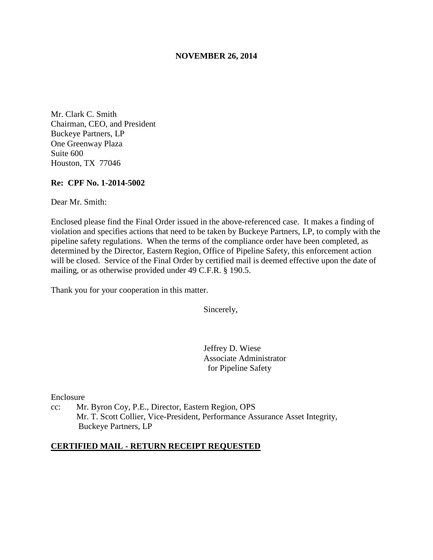## **NOVEMBER 26, 2014**

Mr. Clark C. Smith Chairman, CEO, and President Buckeye Partners, LP One Greenway Plaza Suite 600 Houston, TX 77046

## **Re: CPF No. 1-2014-5002**

Dear Mr. Smith:

Enclosed please find the Final Order issued in the above-referenced case. It makes a finding of violation and specifies actions that need to be taken by Buckeye Partners, LP, to comply with the pipeline safety regulations. When the terms of the compliance order have been completed, as determined by the Director, Eastern Region, Office of Pipeline Safety, this enforcement action will be closed. Service of the Final Order by certified mail is deemed effective upon the date of mailing, or as otherwise provided under 49 C.F.R. § 190.5.

Thank you for your cooperation in this matter.

Sincerely,

Jeffrey D. Wiese Associate Administrator for Pipeline Safety

Enclosure

cc: Mr. Byron Coy, P.E., Director, Eastern Region, OPS Mr. T. Scott Collier, Vice-President, Performance Assurance Asset Integrity, Buckeye Partners, LP

#### **CERTIFIED MAIL - RETURN RECEIPT REQUESTED**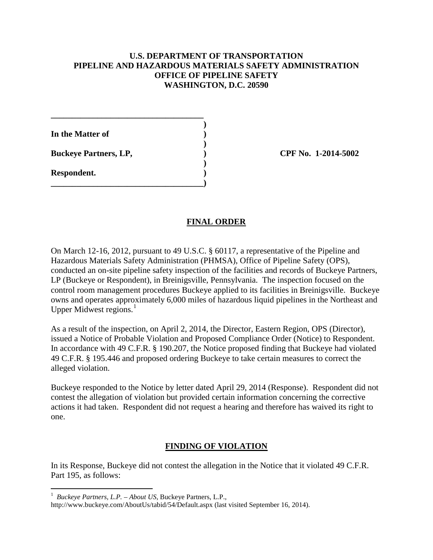## **U.S. DEPARTMENT OF TRANSPORTATION PIPELINE AND HAZARDOUS MATERIALS SAFETY ADMINISTRATION OFFICE OF PIPELINE SAFETY WASHINGTON, D.C. 20590**

**In the Matter of )** 

**Buckeye Partners, LP,**  (2014-5002)

**\_\_\_\_\_\_\_\_\_\_\_\_\_\_\_\_\_\_\_\_\_\_\_\_\_\_\_\_\_\_\_\_\_\_\_\_ )** 

 **)** 

 **)** 

**\_\_\_\_\_\_\_\_\_\_\_\_\_\_\_\_\_\_\_\_\_\_\_\_\_\_\_\_\_\_\_\_\_\_\_\_)** 

**Respondent. )** 

## **FINAL ORDER**

On March 12-16, 2012, pursuant to 49 U.S.C. § 60117, a representative of the Pipeline and Hazardous Materials Safety Administration (PHMSA), Office of Pipeline Safety (OPS), conducted an on-site pipeline safety inspection of the facilities and records of Buckeye Partners, LP (Buckeye or Respondent), in Breinigsville, Pennsylvania. The inspection focused on the control room management procedures Buckeye applied to its facilities in Breinigsville. Buckeye owns and operates approximately 6,000 miles of hazardous liquid pipelines in the Northeast and Upper Midwest regions. $<sup>1</sup>$ </sup>

As a result of the inspection, on April 2, 2014, the Director, Eastern Region, OPS (Director), issued a Notice of Probable Violation and Proposed Compliance Order (Notice) to Respondent. In accordance with 49 C.F.R. § 190.207, the Notice proposed finding that Buckeye had violated 49 C.F.R. § 195.446 and proposed ordering Buckeye to take certain measures to correct the alleged violation.

Buckeye responded to the Notice by letter dated April 29, 2014 (Response). Respondent did not contest the allegation of violation but provided certain information concerning the corrective actions it had taken. Respondent did not request a hearing and therefore has waived its right to one.

# **FINDING OF VIOLATION**

In its Response, Buckeye did not contest the allegation in the Notice that it violated 49 C.F.R. Part 195, as follows:

 1 *Buckeye Partners, L.P. – About US*, Buckeye Partners, L.P.,

http://www.buckeye.com/AboutUs/tabid/54/Default.aspx (last visited September 16, 2014).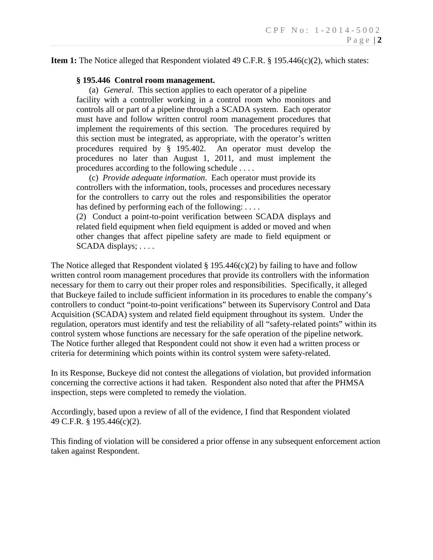**Item 1:** The Notice alleged that Respondent violated 49 C.F.R. § 195.446(c)(2), which states:

## **§ 195.446 Control room management.**

(a) *General*. This section applies to each operator of a pipeline facility with a controller working in a control room who monitors and controls all or part of a pipeline through a SCADA system. Each operator must have and follow written control room management procedures that implement the requirements of this section. The procedures required by this section must be integrated, as appropriate, with the operator's written procedures required by § 195.402. An operator must develop the procedures no later than August 1, 2011, and must implement the procedures according to the following schedule . . . .

(c) *Provide adequate information*. Each operator must provide its controllers with the information, tools, processes and procedures necessary for the controllers to carry out the roles and responsibilities the operator has defined by performing each of the following: ....

(2) Conduct a point-to-point verification between SCADA displays and related field equipment when field equipment is added or moved and when other changes that affect pipeline safety are made to field equipment or SCADA displays; . . . .

The Notice alleged that Respondent violated  $\S 195.446(c)(2)$  by failing to have and follow written control room management procedures that provide its controllers with the information necessary for them to carry out their proper roles and responsibilities. Specifically, it alleged that Buckeye failed to include sufficient information in its procedures to enable the company's controllers to conduct "point-to-point verifications" between its Supervisory Control and Data Acquisition (SCADA) system and related field equipment throughout its system. Under the regulation, operators must identify and test the reliability of all "safety-related points" within its control system whose functions are necessary for the safe operation of the pipeline network. The Notice further alleged that Respondent could not show it even had a written process or criteria for determining which points within its control system were safety-related.

In its Response, Buckeye did not contest the allegations of violation, but provided information concerning the corrective actions it had taken. Respondent also noted that after the PHMSA inspection, steps were completed to remedy the violation.

Accordingly, based upon a review of all of the evidence, I find that Respondent violated 49 C.F.R. § 195.446(c)(2).

This finding of violation will be considered a prior offense in any subsequent enforcement action taken against Respondent.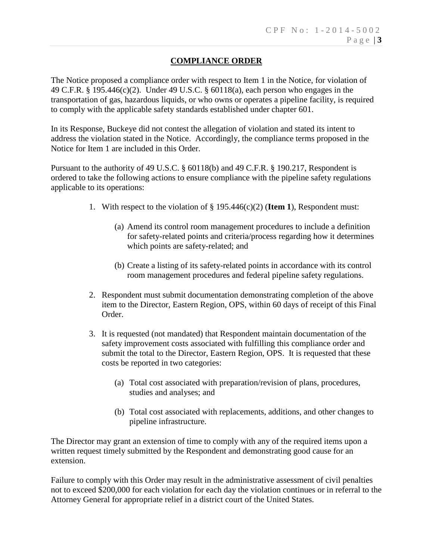# **COMPLIANCE ORDER**

The Notice proposed a compliance order with respect to Item 1 in the Notice, for violation of 49 C.F.R. § 195.446(c)(2). Under 49 U.S.C. § 60118(a), each person who engages in the transportation of gas, hazardous liquids, or who owns or operates a pipeline facility, is required to comply with the applicable safety standards established under chapter 601.

In its Response, Buckeye did not contest the allegation of violation and stated its intent to address the violation stated in the Notice. Accordingly, the compliance terms proposed in the Notice for Item 1 are included in this Order.

Pursuant to the authority of 49 U.S.C. § 60118(b) and 49 C.F.R. § 190.217, Respondent is ordered to take the following actions to ensure compliance with the pipeline safety regulations applicable to its operations:

- 1. With respect to the violation of § 195.446(c)(2) (**Item 1**), Respondent must:
	- (a) Amend its control room management procedures to include a definition for safety-related points and criteria/process regarding how it determines which points are safety-related; and
	- (b) Create a listing of its safety-related points in accordance with its control room management procedures and federal pipeline safety regulations.
- 2. Respondent must submit documentation demonstrating completion of the above item to the Director, Eastern Region, OPS, within 60 days of receipt of this Final Order.
- 3. It is requested (not mandated) that Respondent maintain documentation of the safety improvement costs associated with fulfilling this compliance order and submit the total to the Director, Eastern Region, OPS. It is requested that these costs be reported in two categories:
	- (a) Total cost associated with preparation/revision of plans, procedures, studies and analyses; and
	- (b) Total cost associated with replacements, additions, and other changes to pipeline infrastructure.

The Director may grant an extension of time to comply with any of the required items upon a written request timely submitted by the Respondent and demonstrating good cause for an extension.

Failure to comply with this Order may result in the administrative assessment of civil penalties not to exceed \$200,000 for each violation for each day the violation continues or in referral to the Attorney General for appropriate relief in a district court of the United States.